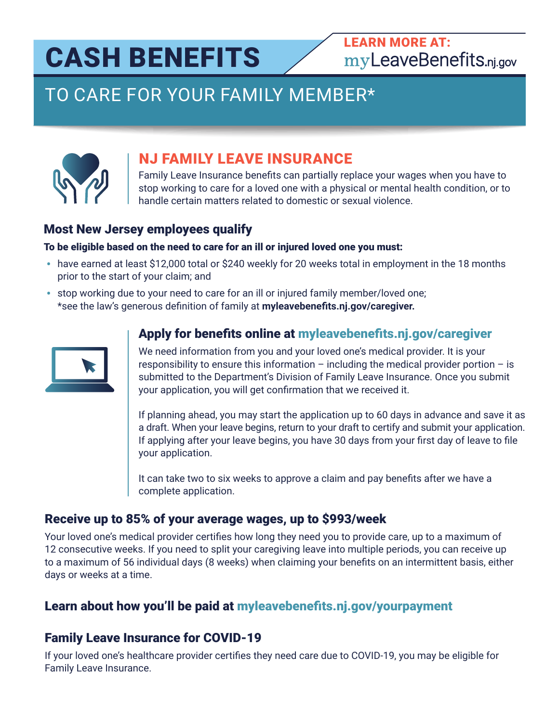# CASH BENEFITS

## [LEARN MORE AT:](http://www.myleavebenefits.nj.gov) myLeaveBenefits.nj.gov

# TO CARE FOR YOUR FAMILY MEMBER\*



### NJ FAMILY LEAVE INSURANCE

Family Leave Insurance benefits can partially replace your wages when you have to stop working to care for a loved one with a physical or mental health condition, or to handle certain matters related to domestic or sexual violence.

#### Most New Jersey employees qualify

#### To be eligible based on the need to care for an ill or injured loved one you must:

- **•** have earned at least \$12,000 total or \$240 weekly for 20 weeks total in employment in the 18 months prior to the start of your claim; and
- **•** stop working due to your need to care for an ill or injured family member/loved one; \*see the law's generous definition of family at **[myleavebenefits.nj.gov/caregiver.](http://www.myleavebenefits.nj.gov/caregiver)**



#### Apply for benefits online a[t myleavebenefits.nj.gov/caregiver](http://www.myleavebenefits.nj.gov/caregiver)

We need information from you and your loved one's medical provider. It is your responsibility to ensure this information – including the medical provider portion – is submitted to the Department's Division of Family Leave Insurance. Once you submit your application, you will get confirmation that we received it.

If planning ahead, you may start the application up to 60 days in advance and save it as a draft. When your leave begins, return to your draft to certify and submit your application. If applying after your leave begins, you have 30 days from your first day of leave to file your application.

It can take two to six weeks to approve a claim and pay benefits after we have a complete application.

#### Receive up to 85% of your average wages, up to \$993/week

Your loved one's medical provider certifies how long they need you to provide care, up to a maximum of 12 consecutive weeks. If you need to split your caregiving leave into multiple periods, you can receive up to a maximum of 56 individual days (8 weeks) when claiming your benefits on an intermittent basis, either days or weeks at a time.

#### Learn about how you'll be paid a[t myleavebenefits.nj.gov/yourpayment](http://www.myleavebenefits.nj.gov/yourpayment)

#### Family Leave Insurance for COVID-19

If your loved one's healthcare provider certifies they need care due to COVID-19, you may be eligible for Family Leave Insurance.